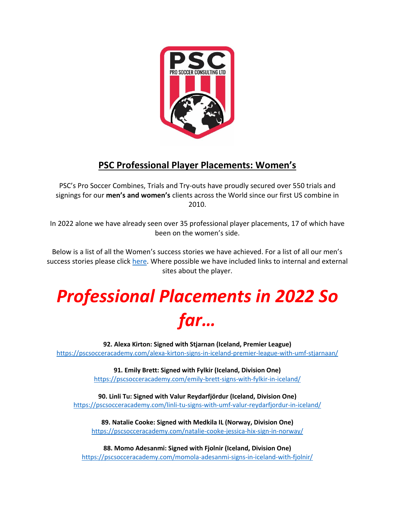

### **PSC Professional Player Placements: Women's**

PSC's Pro Soccer Combines, Trials and Try-outs have proudly secured over 550 trials and signings for our **men's and women's** clients across the World since our first US combine in 2010.

In 2022 alone we have already seen over 35 professional player placements, 17 of which have been on the women's side.

Below is a list of all the Women's success stories we have achieved. For a list of all our men's success stories please click [here.](https://www.pscsocceracademy.com/success-stories/) Where possible we have included links to internal and external sites about the player.

# *Professional Placements in 2022 So far…*

**92. Alexa Kirton: Signed with Stjarnan (Iceland, Premier League)** <https://pscsocceracademy.com/alexa-kirton-signs-in-iceland-premier-league-with-umf-stjarnaan/>

> **91. Emily Brett: Signed with Fylkir (Iceland, Division One)** <https://pscsocceracademy.com/emily-brett-signs-with-fylkir-in-iceland/>

**90. Linli Tu: Signed with Valur Reydarfjördur (Iceland, Division One)** <https://pscsocceracademy.com/linli-tu-signs-with-umf-valur-reydarfjordur-in-iceland/>

**89. Natalie Cooke: Signed with Medkila IL (Norway, Division One)** <https://pscsocceracademy.com/natalie-cooke-jessica-hix-sign-in-norway/>

**88. Momo Adesanmi: Signed with Fjolnir (Iceland, Division One)** <https://pscsocceracademy.com/momola-adesanmi-signs-in-iceland-with-fjolnir/>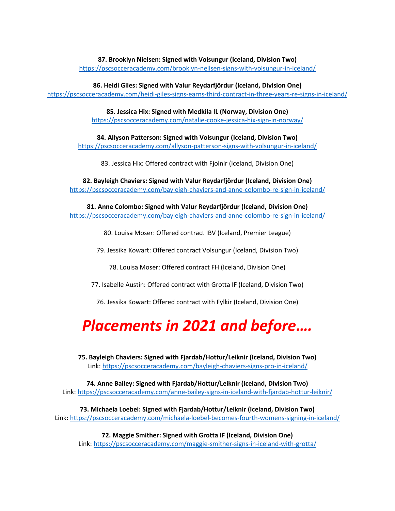**87. Brooklyn Nielsen: Signed with Volsungur (Iceland, Division Two)**

<https://pscsocceracademy.com/brooklyn-neilsen-signs-with-volsungur-in-iceland/>

**86. Heidi Giles: Signed with Valur Reydarfjördur (Iceland, Division One)**

<https://pscsocceracademy.com/heidi-giles-signs-earns-third-contract-in-three-years-re-signs-in-iceland/>

**85. Jessica Hix: Signed with Medkila IL (Norway, Division One)** <https://pscsocceracademy.com/natalie-cooke-jessica-hix-sign-in-norway/>

**84. Allyson Patterson: Signed with Volsungur (Iceland, Division Two)** <https://pscsocceracademy.com/allyson-patterson-signs-with-volsungur-in-iceland/>

83. Jessica Hix: Offered contract with Fjolnir (Iceland, Division One)

**82. Bayleigh Chaviers: Signed with Valur Reydarfjördur (Iceland, Division One)** <https://pscsocceracademy.com/bayleigh-chaviers-and-anne-colombo-re-sign-in-iceland/>

**81. Anne Colombo: Signed with Valur Reydarfjördur (Iceland, Division One)** <https://pscsocceracademy.com/bayleigh-chaviers-and-anne-colombo-re-sign-in-iceland/>

80. Louisa Moser: Offered contract IBV (Iceland, Premier League)

79. Jessika Kowart: Offered contract Volsungur (Iceland, Division Two)

78. Louisa Moser: Offered contract FH (Iceland, Division One)

77. Isabelle Austin: Offered contract with Grotta IF (Iceland, Division Two)

76. Jessika Kowart: Offered contract with Fylkir (Iceland, Division One)

## *Placements in 2021 and before….*

**75. Bayleigh Chaviers: Signed with Fjardab/Hottur/Leiknir (Iceland, Division Two)** Link:<https://pscsocceracademy.com/bayleigh-chaviers-signs-pro-in-iceland/>

**74. Anne Bailey: Signed with Fjardab/Hottur/Leiknir (Iceland, Division Two)** Link: <https://pscsocceracademy.com/anne-bailey-signs-in-iceland-with-fjardab-hottur-leiknir/>

**73. Michaela Loebel: Signed with Fjardab/Hottur/Leiknir (Iceland, Division Two)** Link[: https://pscsocceracademy.com/michaela-loebel-becomes-fourth-womens-signing-in-iceland/](https://pscsocceracademy.com/michaela-loebel-becomes-fourth-womens-signing-in-iceland/)

**72. Maggie Smither: Signed with Grotta IF (Iceland, Division One)** Link:<https://pscsocceracademy.com/maggie-smither-signs-in-iceland-with-grotta/>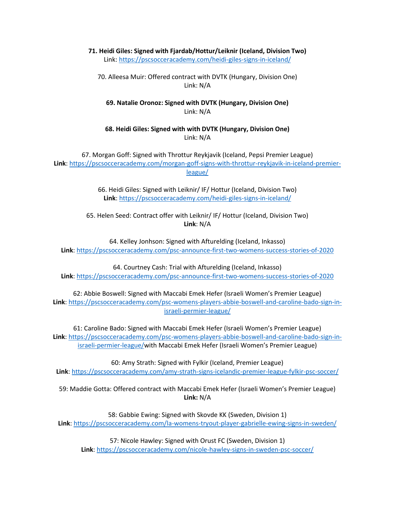#### **71. Heidi Giles: Signed with Fjardab/Hottur/Leiknir (Iceland, Division Two)** Link: <https://pscsocceracademy.com/heidi-giles-signs-in-iceland/>

70. Alleesa Muir: Offered contract with DVTK (Hungary, Division One) Link: N/A

#### **69. Natalie Oronoz: Signed with DVTK (Hungary, Division One)** Link: N/A

#### **68. Heidi Giles: Signed with with DVTK (Hungary, Division One)** Link: N/A

67. Morgan Goff: Signed with Throttur Reykjavik (Iceland, Pepsi Premier League) **Link**[: https://pscsocceracademy.com/morgan-goff-signs-with-throttur-reykjavik-in-iceland-premier](https://pscsocceracademy.com/morgan-goff-signs-with-throttur-reykjavik-in-iceland-premier-league/)[league/](https://pscsocceracademy.com/morgan-goff-signs-with-throttur-reykjavik-in-iceland-premier-league/)

> 66. Heidi Giles: Signed with Leiknir/ IF/ Hottur (Iceland, Division Two) **Link**[: https://pscsocceracademy.com/heidi-giles-signs-in-iceland/](https://pscsocceracademy.com/heidi-giles-signs-in-iceland/)

65. Helen Seed: Contract offer with Leiknir/ IF/ Hottur (Iceland, Division Two) **Link**: N/A

64. Kelley Jonhson: Signed with Afturelding (Iceland, Inkasso) **Link**[: https://pscsocceracademy.com/psc-announce-first-two-womens-success-stories-of-2020](https://pscsocceracademy.com/psc-announce-first-two-womens-success-stories-of-2020)

64. Courtney Cash: Trial with Afturelding (Iceland, Inkasso) **Link**[: https://pscsocceracademy.com/psc-announce-first-two-womens-success-stories-of-2020](https://pscsocceracademy.com/psc-announce-first-two-womens-success-stories-of-2020)

62: Abbie Boswell: Signed with Maccabi Emek Hefer (Israeli Women's Premier League) **Link**: [https://pscsocceracademy.com/psc-womens-players-abbie-boswell-and-caroline-bado-sign-in](https://pscsocceracademy.com/psc-womens-players-abbie-boswell-and-caroline-bado-sign-in-israeli-permier-league/)[israeli-permier-league/](https://pscsocceracademy.com/psc-womens-players-abbie-boswell-and-caroline-bado-sign-in-israeli-permier-league/)

61: Caroline Bado: Signed with Maccabi Emek Hefer (Israeli Women's Premier League) **Link**: [https://pscsocceracademy.com/psc-womens-players-abbie-boswell-and-caroline-bado-sign-in](https://pscsocceracademy.com/psc-womens-players-abbie-boswell-and-caroline-bado-sign-in-israeli-permier-league/)[israeli-permier-league/w](https://pscsocceracademy.com/psc-womens-players-abbie-boswell-and-caroline-bado-sign-in-israeli-permier-league/)ith Maccabi Emek Hefer (Israeli Women's Premier League)

60: Amy Strath: Signed with Fylkir (Iceland, Premier League) **Link**:<https://pscsocceracademy.com/amy-strath-signs-icelandic-premier-league-fylkir-psc-soccer/>

59: Maddie Gotta: Offered contract with Maccabi Emek Hefer (Israeli Women's Premier League) **Link:** N/A

58: Gabbie Ewing: Signed with Skovde KK (Sweden, Division 1) **Link**:<https://pscsocceracademy.com/la-womens-tryout-player-gabrielle-ewing-signs-in-sweden/>

57: Nicole Hawley: Signed with Orust FC (Sweden, Division 1) **Link**:<https://pscsocceracademy.com/nicole-hawley-signs-in-sweden-psc-soccer/>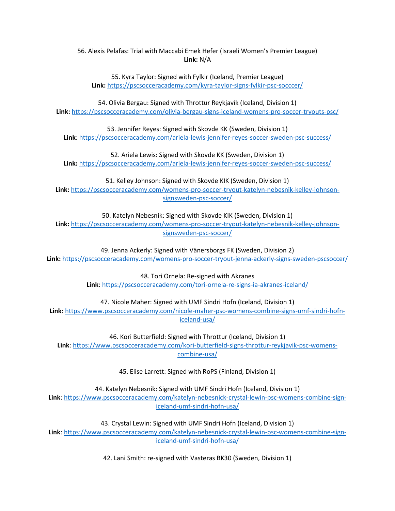56. Alexis Pelafas: Trial with Maccabi Emek Hefer (Israeli Women's Premier League) **Link:** N/A

55. Kyra Taylor: Signed with Fylkir (Iceland, Premier League) **Link:** <https://pscsocceracademy.com/kyra-taylor-signs-fylkir-psc-socccer/>

54. Olivia Bergau: Signed with Throttur Reykjavík (Iceland, Division 1) **Link:** <https://pscsocceracademy.com/olivia-bergau-signs-iceland-womens-pro-soccer-tryouts-psc/>

53. Jennifer Reyes: Signed with Skovde KK (Sweden, Division 1) **Link**[: https://pscsocceracademy.com/ariela-lewis-jennifer-reyes-soccer-sweden-psc-success/](https://pscsocceracademy.com/ariela-lewis-jennifer-reyes-soccer-sweden-psc-success/)

52. Ariela Lewis: Signed with Skovde KK (Sweden, Division 1) **Link:** <https://pscsocceracademy.com/ariela-lewis-jennifer-reyes-soccer-sweden-psc-success/>

51. Kelley Johnson: Signed with Skovde KIK (Sweden, Division 1) **Link:** [https://pscsocceracademy.com/womens-pro-soccer-tryout-katelyn-nebesnik-kelley-johnson](https://pscsocceracademy.com/womens-pro-soccer-tryout-katelyn-nebesnik-kelley-johnson-signsweden-psc-soccer/)[signsweden-psc-soccer/](https://pscsocceracademy.com/womens-pro-soccer-tryout-katelyn-nebesnik-kelley-johnson-signsweden-psc-soccer/)

50. Katelyn Nebesnik: Signed with Skovde KIK (Sweden, Division 1)

**Link:** [https://pscsocceracademy.com/womens-pro-soccer-tryout-katelyn-nebesnik-kelley-johnson](https://pscsocceracademy.com/womens-pro-soccer-tryout-katelyn-nebesnik-kelley-johnson-signsweden-psc-soccer/)[signsweden-psc-soccer/](https://pscsocceracademy.com/womens-pro-soccer-tryout-katelyn-nebesnik-kelley-johnson-signsweden-psc-soccer/)

49. Jenna Ackerly: Signed with Vänersborgs FK (Sweden, Division 2) **Link:** <https://pscsocceracademy.com/womens-pro-soccer-tryout-jenna-ackerly-signs-sweden-pscsoccer/>

> 48. Tori Ornela: Re-signed with Akranes **Link**:<https://pscsocceracademy.com/tori-ornela-re-signs-ia-akranes-iceland/>

47. Nicole Maher: Signed with UMF Sindri Hofn (Iceland, Division 1)

**Link**: [https://www.pscsocceracademy.com/nicole-maher-psc-womens-combine-signs-umf-sindri-hofn](https://www.pscsocceracademy.com/nicole-maher-psc-womens-combine-signs-umf-sindri-hofn-iceland-usa/)[iceland-usa/](https://www.pscsocceracademy.com/nicole-maher-psc-womens-combine-signs-umf-sindri-hofn-iceland-usa/)

46. Kori Butterfield: Signed with Throttur (Iceland, Division 1) **Link**: [https://www.pscsocceracademy.com/kori-butterfield-signs-throttur-reykjavik-psc-womens](https://www.pscsocceracademy.com/kori-butterfield-signs-throttur-reykjavik-psc-womens-combine-usa/)[combine-usa/](https://www.pscsocceracademy.com/kori-butterfield-signs-throttur-reykjavik-psc-womens-combine-usa/)

45. Elise Larrett: Signed with RoPS (Finland, Division 1)

44. Katelyn Nebesnik: Signed with UMF Sindri Hofn (Iceland, Division 1)

**Link**: [https://www.pscsocceracademy.com/katelyn-nebesnick-crystal-lewin-psc-womens-combine-sign](https://www.pscsocceracademy.com/katelyn-nebesnick-crystal-lewin-psc-womens-combine-sign-iceland-umf-sindri-hofn-usa/)[iceland-umf-sindri-hofn-usa/](https://www.pscsocceracademy.com/katelyn-nebesnick-crystal-lewin-psc-womens-combine-sign-iceland-umf-sindri-hofn-usa/)

43. Crystal Lewin: Signed with UMF Sindri Hofn (Iceland, Division 1) **Link**: [https://www.pscsocceracademy.com/katelyn-nebesnick-crystal-lewin-psc-womens-combine-sign](https://www.pscsocceracademy.com/katelyn-nebesnick-crystal-lewin-psc-womens-combine-sign-iceland-umf-sindri-hofn-usa/)[iceland-umf-sindri-hofn-usa/](https://www.pscsocceracademy.com/katelyn-nebesnick-crystal-lewin-psc-womens-combine-sign-iceland-umf-sindri-hofn-usa/)

42. Lani Smith: re-signed with Vasteras BK30 (Sweden, Division 1)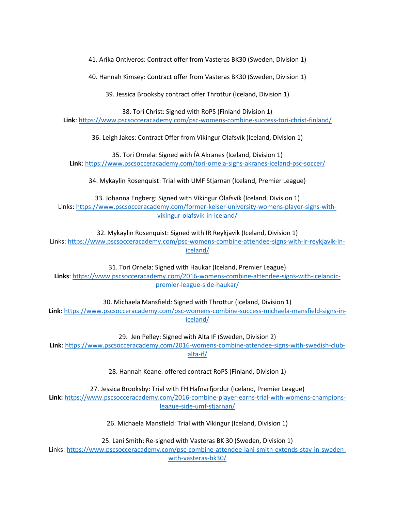41. Arika Ontiveros: Contract offer from Vasteras BK30 (Sweden, Division 1)

40. Hannah Kimsey: Contract offer from Vasteras BK30 (Sweden, Division 1)

39. Jessica Brooksby contract offer Throttur (Iceland, Division 1)

38. Tori Christ: Signed with RoPS (Finland Division 1)

**Link**:<https://www.pscsocceracademy.com/psc-womens-combine-success-tori-christ-finland/>

36. Leigh Jakes: Contract Offer from Víkingur Olafsvík (Iceland, Division 1)

35. Tori Ornela: Signed with ÍA Akranes (Iceland, Division 1) **Link**: <https://www.pscsocceracademy.com/tori-ornela-signs-akranes-iceland-psc-soccer/>

34. Mykaylin Rosenquist: Trial with UMF Stjarnan (Iceland, Premier League)

33. Johanna Engberg: Signed with Víkingur Ólafsvík (Iceland, Division 1) Links: [https://www.pscsocceracademy.com/former-keiser-university-womens-player-signs-with](https://www.pscsocceracademy.com/former-keiser-university-womens-player-signs-with-vikingur-olafsvik-in-iceland/)[vikingur-olafsvik-in-iceland/](https://www.pscsocceracademy.com/former-keiser-university-womens-player-signs-with-vikingur-olafsvik-in-iceland/)

32. Mykaylin Rosenquist: Signed with IR Reykjavik (Iceland, Division 1) Links: [https://www.pscsocceracademy.com/psc-womens-combine-attendee-signs-with-ir-reykjavik-in](https://www.pscsocceracademy.com/psc-womens-combine-attendee-signs-with-ir-reykjavik-in-iceland/)[iceland/](https://www.pscsocceracademy.com/psc-womens-combine-attendee-signs-with-ir-reykjavik-in-iceland/)

31. Tori Ornela: Signed with Haukar (Iceland, Premier League) **Links**[: https://www.pscsocceracademy.com/2016-womens-combine-attendee-signs-with-icelandic](https://www.pscsocceracademy.com/2016-womens-combine-attendee-signs-with-icelandic-premier-league-side-haukar/)[premier-league-side-haukar/](https://www.pscsocceracademy.com/2016-womens-combine-attendee-signs-with-icelandic-premier-league-side-haukar/)

30. Michaela Mansfield: Signed with Throttur (Iceland, Division 1)

**Link**: [https://www.pscsocceracademy.com/psc-womens-combine-success-michaela-mansfield-signs-in](https://www.pscsocceracademy.com/psc-womens-combine-success-michaela-mansfield-signs-in-iceland/)[iceland/](https://www.pscsocceracademy.com/psc-womens-combine-success-michaela-mansfield-signs-in-iceland/)

29. Jen Pelley: Signed with Alta IF (Sweden, Division 2) **Link**: [https://www.pscsocceracademy.com/2016-womens-combine-attendee-signs-with-swedish-club](https://www.pscsocceracademy.com/2016-womens-combine-attendee-signs-with-swedish-club-alta-if/)[alta-if/](https://www.pscsocceracademy.com/2016-womens-combine-attendee-signs-with-swedish-club-alta-if/)

28. Hannah Keane: offered contract RoPS (Finland, Division 1)

27. Jessica Brooksby: Trial with FH Hafnarfjordur (Iceland, Premier League) **Link:** [https://www.pscsocceracademy.com/2016-combine-player-earns-trial-with-womens-champions](https://www.pscsocceracademy.com/2016-combine-player-earns-trial-with-womens-champions-league-side-umf-stjarnan/)[league-side-umf-stjarnan/](https://www.pscsocceracademy.com/2016-combine-player-earns-trial-with-womens-champions-league-side-umf-stjarnan/)

26. Michaela Mansfield: Trial with Vikingur (Iceland, Division 1)

25. Lani Smith: Re-signed with Vasteras BK 30 (Sweden, Division 1)

Links: [https://www.pscsocceracademy.com/psc-combine-attendee-lani-smith-extends-stay-in-sweden](https://www.pscsocceracademy.com/psc-combine-attendee-lani-smith-extends-stay-in-sweden-with-vasteras-bk30/)[with-vasteras-bk30/](https://www.pscsocceracademy.com/psc-combine-attendee-lani-smith-extends-stay-in-sweden-with-vasteras-bk30/)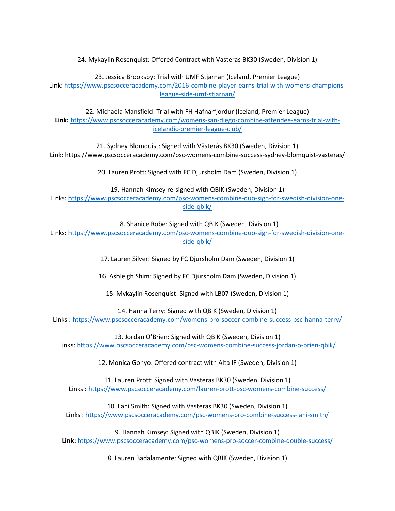24. Mykaylin Rosenquist: Offered Contract with Vasteras BK30 (Sweden, Division 1)

23. Jessica Brooksby: Trial with UMF Stjarnan (Iceland, Premier League) Link[: https://www.pscsocceracademy.com/2016-combine-player-earns-trial-with-womens-champions](https://www.pscsocceracademy.com/2016-combine-player-earns-trial-with-womens-champions-league-side-umf-stjarnan/)[league-side-umf-stjarnan/](https://www.pscsocceracademy.com/2016-combine-player-earns-trial-with-womens-champions-league-side-umf-stjarnan/)

22. Michaela Mansfield: Trial with FH Hafnarfjordur (Iceland, Premier League) **Link:** [https://www.pscsocceracademy.com/womens-san-diego-combine-attendee-earns-trial-with](https://www.pscsocceracademy.com/womens-san-diego-combine-attendee-earns-trial-with-icelandic-premier-league-club/)[icelandic-premier-league-club/](https://www.pscsocceracademy.com/womens-san-diego-combine-attendee-earns-trial-with-icelandic-premier-league-club/)

21. Sydney Blomquist: Signed with Västerås BK30 (Sweden, Division 1) Link: https://www.pscsocceracademy.com/psc-womens-combine-success-sydney-blomquist-vasteras/

20. Lauren Prott: Signed with FC Djursholm Dam (Sweden, Division 1)

19. Hannah Kimsey re-signed with QBIK (Sweden, Division 1)

Links[: https://www.pscsocceracademy.com/psc-womens-combine-duo-sign-for-swedish-division-one](https://www.pscsocceracademy.com/psc-womens-combine-duo-sign-for-swedish-division-one-side-qbik/)[side-qbik/](https://www.pscsocceracademy.com/psc-womens-combine-duo-sign-for-swedish-division-one-side-qbik/)

18. Shanice Robe: Signed with QBIK (Sweden, Division 1)

Links[: https://www.pscsocceracademy.com/psc-womens-combine-duo-sign-for-swedish-division-one](https://www.pscsocceracademy.com/psc-womens-combine-duo-sign-for-swedish-division-one-side-qbik/)[side-qbik/](https://www.pscsocceracademy.com/psc-womens-combine-duo-sign-for-swedish-division-one-side-qbik/)

17. Lauren Silver: Signed by FC Djursholm Dam (Sweden, Division 1)

16. Ashleigh Shim: Signed by FC Djursholm Dam (Sweden, Division 1)

15. Mykaylin Rosenquist: Signed with LB07 (Sweden, Division 1)

14. Hanna Terry: Signed with QBIK (Sweden, Division 1)

Links :<https://www.pscsocceracademy.com/womens-pro-soccer-combine-success-psc-hanna-terry/>

13. Jordan O'Brien: Signed with QBIK (Sweden, Division 1)

Links:<https://www.pscsocceracademy.com/psc-womens-combine-success-jordan-o-brien-qbik/>

12. Monica Gonyo: Offered contract with Alta IF (Sweden, Division 1)

11. Lauren Prott: Signed with Vasteras BK30 (Sweden, Division 1) Links :<https://www.pscsocceracademy.com/lauren-prott-psc-womens-combine-success/>

10. Lani Smith: Signed with Vasteras BK30 (Sweden, Division 1) Links [: https://www.pscsocceracademy.com/psc-womens-pro-combine-success-lani-smith/](https://www.pscsocceracademy.com/psc-womens-pro-combine-success-lani-smith/)

9. Hannah Kimsey: Signed with QBIK (Sweden, Division 1) **Link:** <https://www.pscsocceracademy.com/psc-womens-pro-soccer-combine-double-success/>

8. Lauren Badalamente: Signed with QBIK (Sweden, Division 1)